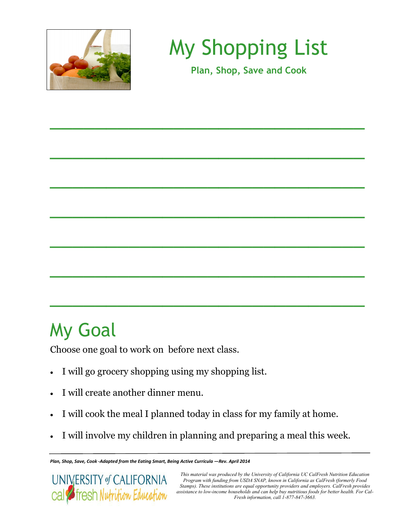

My Shopping List

**Plan, Shop, Save and Cook**

\_\_\_\_\_\_\_\_\_\_\_\_\_\_\_\_\_\_\_\_\_\_\_\_\_\_\_\_

\_\_\_\_\_\_\_\_\_\_\_\_\_\_\_\_\_\_\_\_\_\_\_\_\_\_\_\_

\_\_\_\_\_\_\_\_\_\_\_\_\_\_\_\_\_\_\_\_\_\_\_\_\_\_\_\_

\_\_\_\_\_\_\_\_\_\_\_\_\_\_\_\_\_\_\_\_\_\_\_\_\_\_\_\_

\_\_\_\_\_\_\_\_\_\_\_\_\_\_\_\_\_\_\_\_\_\_\_\_\_\_\_\_

\_\_\_\_\_\_\_\_\_\_\_\_\_\_\_\_\_\_\_\_\_\_\_\_\_\_\_\_

\_\_\_\_\_\_\_\_\_\_\_\_\_\_\_\_\_\_\_\_\_\_\_\_\_\_\_\_

## My Goal

Choose one goal to work on before next class.

- I will go grocery shopping using my shopping list.
- I will create another dinner menu.
- I will cook the meal I planned today in class for my family at home.
- I will involve my children in planning and preparing a meal this week.

*Plan, Shop, Save, Cook -Adapted from the Eating Smart, Being Active Curricula —Rev. April 2014*



*This material was produced by the University of California UC CalFresh Nutrition Education Program with funding from USDA SNAP, known in California as CalFresh (formerly Food Stamps). These institutions are equal opportunity providers and employers. CalFresh provides assistance to low-income households and can help buy nutritious foods for better health. For Cal-Fresh information, call 1-877-847-3663.*